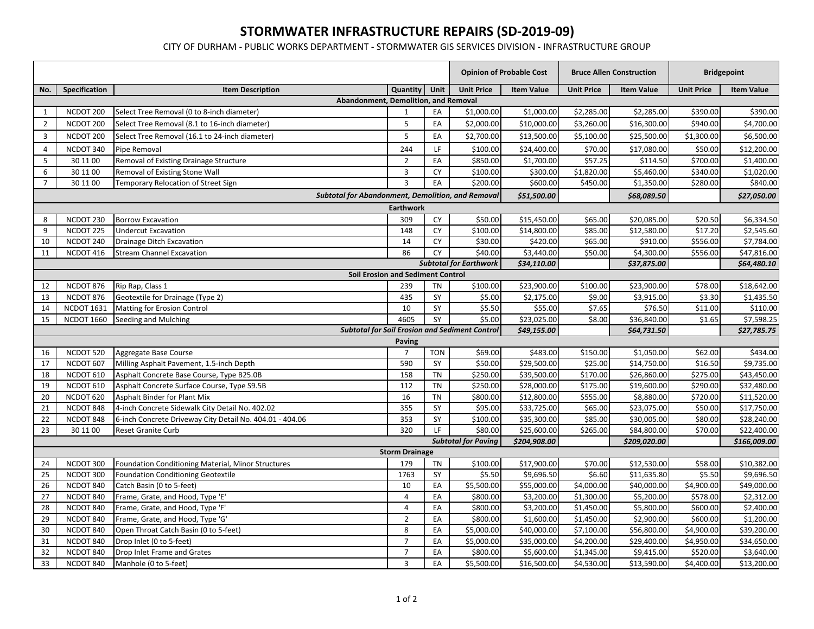## **STORMWATER INFRASTRUCTURE REPAIRS (SD‐2019‐09)**

CITY OF DURHAM ‐ PUBLIC WORKS DEPARTMENT ‐ STORMWATER GIS SERVICES DIVISION ‐ INFRASTRUCTURE GROUP

|                                                       |                                                   |                                                                      |                       | <b>Opinion of Probable Cost</b> |                               | <b>Bruce Allen Construction</b> |                          | <b>Bridgepoint</b>         |                      |                            |  |
|-------------------------------------------------------|---------------------------------------------------|----------------------------------------------------------------------|-----------------------|---------------------------------|-------------------------------|---------------------------------|--------------------------|----------------------------|----------------------|----------------------------|--|
| No.                                                   | Specification                                     | <b>Item Description</b>                                              | Quantity              | Unit                            | <b>Unit Price</b>             | <b>Item Value</b>               | <b>Unit Price</b>        | <b>Item Value</b>          | <b>Unit Price</b>    | <b>Item Value</b>          |  |
| Abandonment, Demolition, and Removal                  |                                                   |                                                                      |                       |                                 |                               |                                 |                          |                            |                      |                            |  |
| 1                                                     | NCDOT 200                                         | Select Tree Removal (0 to 8-inch diameter)                           | $\mathbf{1}$          | EA                              | \$1,000.00                    | \$1,000.00                      | \$2,285.00               | \$2,285.00                 | \$390.00             | \$390.00                   |  |
| $\overline{2}$                                        | NCDOT 200                                         | Select Tree Removal (8.1 to 16-inch diameter)                        | $\sqrt{5}$            | EA                              | \$2,000.00                    | \$10,000.00                     | \$3,260.00               | \$16,300.00                | \$940.00             | \$4,700.00                 |  |
| 3                                                     | NCDOT 200                                         | Select Tree Removal (16.1 to 24-inch diameter)                       | 5                     | EA                              | \$2,700.00                    | \$13,500.00                     | \$5,100.00               | \$25,500.00                | \$1,300.00           | \$6,500.00                 |  |
| $\overline{4}$                                        | NCDOT 340                                         | Pipe Removal                                                         | 244                   | LF                              | \$100.00                      | \$24,400.00                     | \$70.00                  | \$17,080.00                | \$50.00              | \$12,200.00                |  |
| 5                                                     | 30 11 00                                          | Removal of Existing Drainage Structure                               | $\overline{2}$        | EA                              | \$850.00                      | \$1,700.00                      | \$57.25                  | \$114.50                   | \$700.00             | \$1,400.00                 |  |
| $\boldsymbol{6}$                                      | 30 11 00                                          | Removal of Existing Stone Wall                                       | $\mathbf{3}$          | CY                              | \$100.00                      | \$300.00                        | \$1,820.00               | \$5,460.00                 | \$340.00             | \$1,020.00                 |  |
| $\overline{7}$                                        | 30 11 00                                          | Temporary Relocation of Street Sign                                  | $\overline{3}$        | EA                              | \$200.00                      | \$600.00                        | \$450.00                 | \$1,350.00                 | \$280.00             | \$840.00                   |  |
|                                                       | Subtotal for Abandonment, Demolition, and Removal |                                                                      |                       |                                 |                               | \$51,500.00                     |                          | \$68,089.50                |                      | \$27,050.00                |  |
| <b>Earthwork</b>                                      |                                                   |                                                                      |                       |                                 |                               |                                 |                          |                            |                      |                            |  |
| 8                                                     | NCDOT 230                                         | <b>Borrow Excavation</b>                                             | 309                   | CY                              | \$50.00                       | \$15,450.00                     | \$65.00                  | \$20,085.00                | \$20.50              | \$6,334.50                 |  |
| 9                                                     | NCDOT 225                                         | <b>Undercut Excavation</b>                                           | 148                   | CY                              | \$100.00                      | \$14,800.00                     | \$85.00                  | \$12,580.00                | \$17.20              | \$2,545.60                 |  |
| 10                                                    | NCDOT 240                                         | Drainage Ditch Excavation                                            | 14                    | CY                              | \$30.00                       | \$420.00                        | \$65.00                  | \$910.00                   | \$556.00             | \$7,784.00                 |  |
| 11                                                    | NCDOT 416                                         | <b>Stream Channel Excavation</b>                                     | 86                    | CY                              | \$40.00                       | \$3,440.00                      | \$50.00                  | \$4,300.00                 | \$556.00             | \$47,816.00                |  |
|                                                       |                                                   |                                                                      |                       |                                 | <b>Subtotal for Earthwork</b> | \$34,110.00                     |                          | \$37,875.00                |                      | \$64,480.10                |  |
|                                                       | Soil Erosion and Sediment Control                 |                                                                      |                       |                                 |                               |                                 |                          |                            |                      |                            |  |
| 12                                                    | NCDOT 876                                         | Rip Rap, Class 1                                                     | 239                   | <b>TN</b>                       | \$100.00                      | \$23,900.00                     | \$100.00                 | \$23,900.00                | \$78.00              | \$18,642.00                |  |
| 13                                                    | NCDOT 876                                         | Geotextile for Drainage (Type 2)                                     | 435                   | SY                              | \$5.00                        | \$2,175.00                      | \$9.00                   | \$3,915.00                 | \$3.30               | \$1,435.50                 |  |
| 14                                                    | <b>NCDOT 1631</b>                                 | Matting for Erosion Control                                          | 10                    | SY                              | \$5.50                        | \$55.00                         | \$7.65                   | \$76.50                    | \$11.00              | \$110.00                   |  |
| 15                                                    | <b>NCDOT 1660</b>                                 | Seeding and Mulching                                                 | 4605                  | SY                              | \$5.00                        | \$23,025.00                     | \$8.00                   | \$36,840.00                | \$1.65               | \$7,598.25                 |  |
| <b>Subtotal for Soil Erosion and Sediment Control</b> |                                                   |                                                                      |                       |                                 |                               | \$49,155.00                     |                          | \$64,731.50                |                      | \$27,785.75                |  |
|                                                       |                                                   |                                                                      | Paving                |                                 |                               |                                 |                          |                            |                      |                            |  |
| 16                                                    | NCDOT 520                                         | Aggregate Base Course                                                | $\overline{7}$        | <b>TON</b>                      | \$69.00                       | \$483.00                        | \$150.00                 | \$1,050.00                 | \$62.00              | \$434.00                   |  |
| 17                                                    | NCDOT 607                                         | Milling Asphalt Pavement, 1.5-inch Depth                             | 590                   | SY                              | \$50.00                       | \$29,500.00                     | \$25.00                  | \$14,750.00                | \$16.50              | \$9,735.00                 |  |
| 18                                                    | NCDOT 610                                         | Asphalt Concrete Base Course, Type B25.0B                            | 158                   | <b>TN</b>                       | \$250.00                      | \$39,500.00                     | \$170.00                 | \$26,860.00                | \$275.00             | \$43,450.00                |  |
| 19                                                    | NCDOT 610                                         | Asphalt Concrete Surface Course, Type S9.5B                          | 112                   | <b>TN</b>                       | \$250.00                      | \$28,000.00                     | \$175.00                 | \$19,600.00                | \$290.00             | \$32,480.00                |  |
| 20                                                    | NCDOT 620                                         | Asphalt Binder for Plant Mix                                         | 16                    | <b>TN</b>                       | \$800.00                      | \$12,800.00                     | \$555.00                 | \$8,880.00                 | \$720.00             | \$11,520.00                |  |
| 21                                                    | NCDOT 848                                         | 4-inch Concrete Sidewalk City Detail No. 402.02                      | 355                   | SY                              | \$95.00                       | \$33,725.00                     | \$65.00                  | \$23,075.00                | \$50.00              | \$17,750.00                |  |
| 22                                                    | NCDOT 848                                         | 6-inch Concrete Driveway City Detail No. 404.01 - 404.06             | 353                   | SY                              | \$100.00                      | \$35,300.00                     | \$85.00                  | \$30,005.00                | \$80.00              | \$28,240.00                |  |
| 23                                                    | 30 11 00                                          | <b>Reset Granite Curb</b>                                            | 320                   | LF.                             | \$80.00                       | \$25,600.00                     | \$265.00                 | \$84,800.00                | \$70.00              | \$22,400.00                |  |
|                                                       |                                                   |                                                                      |                       |                                 | <b>Subtotal for Paving</b>    | \$204,908.00                    |                          | \$209,020.00               |                      | \$166,009.00               |  |
|                                                       |                                                   |                                                                      | <b>Storm Drainage</b> |                                 |                               |                                 |                          |                            |                      |                            |  |
| 24                                                    | NCDOT 300                                         | Foundation Conditioning Material, Minor Structures                   | 179                   | TN                              | \$100.00                      | \$17,900.00                     | \$70.00                  | \$12,530.00                | \$58.00              | \$10,382.00                |  |
| 25                                                    | NCDOT 300                                         | <b>Foundation Conditioning Geotextile</b>                            | 1763                  | SY                              | \$5.50                        | \$9,696.50                      | \$6.60                   | \$11,635.80                | \$5.50               | \$9,696.50                 |  |
| 26                                                    | NCDOT 840                                         | Catch Basin (0 to 5-feet)                                            | 10                    | EA                              | \$5,500.00                    | \$55,000.00                     | $\frac{1}{54,000.00}$    | \$40,000.00                | \$4,900.00           | \$49,000.00                |  |
| 27                                                    | NCDOT 840                                         | Frame, Grate, and Hood, Type 'E'                                     | $\overline{4}$<br>4   | EA<br>EA                        | \$800.00<br>\$800.00          | \$3,200.00                      | \$1,300.00<br>\$1,450.00 | \$5,200.00<br>\$5,800.00   | \$578.00<br>\$600.00 | \$2,312.00<br>\$2,400.00   |  |
| 28<br>29                                              | NCDOT 840<br>NCDOT 840                            | Frame, Grate, and Hood, Type 'F'<br>Frame, Grate, and Hood, Type 'G' | $\overline{2}$        | EA                              | \$800.00                      | \$3,200.00<br>\$1,600.00        | \$1,450.00               | \$2,900.00                 | \$600.00             | \$1,200.00                 |  |
| 30                                                    |                                                   | Open Throat Catch Basin (0 to 5-feet)                                | 8                     | EA                              | \$5,000.00                    | \$40,000.00                     | \$7,100.00               |                            | \$4,900.00           |                            |  |
| 31                                                    | NCDOT 840<br>NCDOT 840                            | Drop Inlet (0 to 5-feet)                                             | $\overline{7}$        | EA                              | \$5,000.00                    | \$35,000.00                     | \$4,200.00               | \$56,800.00<br>\$29,400.00 | \$4,950.00           | \$39,200.00<br>\$34,650.00 |  |
| 32                                                    | NCDOT 840                                         | Drop Inlet Frame and Grates                                          | $\overline{7}$        | EA                              | \$800.00                      | \$5,600.00                      | \$1,345.00               | \$9,415.00                 | \$520.00             | \$3,640.00                 |  |
|                                                       |                                                   |                                                                      |                       |                                 |                               |                                 |                          |                            |                      |                            |  |
| 33                                                    | NCDOT 840                                         | Manhole (0 to 5-feet)                                                | $\overline{3}$        | EA                              | \$5,500.00                    | \$16,500.00                     | \$4,530.00               | \$13,590.00                | \$4,400.00           | \$13,200.00                |  |